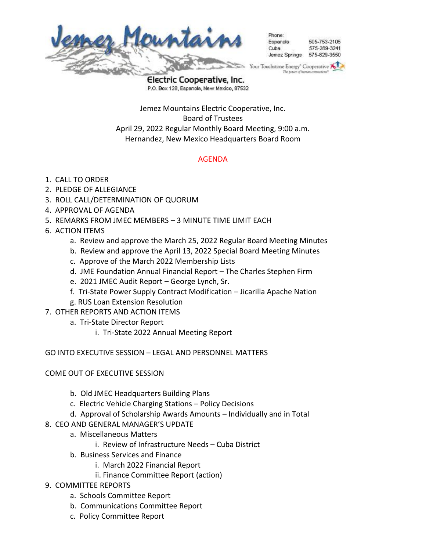

hone: 505-753-2105 Esnanola 575-289-3241 eduO Jemez Springs 575-829-3550

Your Touchstone Energy<sup>®</sup> Cooperative

Electric Cooperative, Inc. P.O. Box 128, Espanola, New Mexico, 87532

Jemez Mountains Electric Cooperative, Inc. Board of Trustees April 29, 2022 Regular Monthly Board Meeting, 9:00 a.m. Hernandez, New Mexico Headquarters Board Room

## AGENDA

- 1. CALL TO ORDER
- 2. PLEDGE OF ALLEGIANCE
- 3. ROLL CALL/DETERMINATION OF QUORUM
- 4. APPROVAL OF AGENDA
- 5. REMARKS FROM JMEC MEMBERS 3 MINUTE TIME LIMIT EACH
- 6. ACTION ITEMS
	- a. Review and approve the March 25, 2022 Regular Board Meeting Minutes
	- b. Review and approve the April 13, 2022 Special Board Meeting Minutes
	- c. Approve of the March 2022 Membership Lists
	- d. JME Foundation Annual Financial Report The Charles Stephen Firm
	- e. 2021 JMEC Audit Report George Lynch, Sr.
	- f. Tri-State Power Supply Contract Modification Jicarilla Apache Nation
	- g. RUS Loan Extension Resolution
- 7. OTHER REPORTS AND ACTION ITEMS
	- a. Tri-State Director Report
		- i. Tri-State 2022 Annual Meeting Report

GO INTO EXECUTIVE SESSION – LEGAL AND PERSONNEL MATTERS

## COME OUT OF EXECUTIVE SESSION

- b. Old JMEC Headquarters Building Plans
- c. Electric Vehicle Charging Stations Policy Decisions
- d. Approval of Scholarship Awards Amounts Individually and in Total
- 8. CEO AND GENERAL MANAGER'S UPDATE
	- a. Miscellaneous Matters
		- i. Review of Infrastructure Needs Cuba District
	- b. Business Services and Finance
		- i. March 2022 Financial Report
		- ii. Finance Committee Report (action)
- 9. COMMITTEE REPORTS
	- a. Schools Committee Report
	- b. Communications Committee Report
	- c. Policy Committee Report